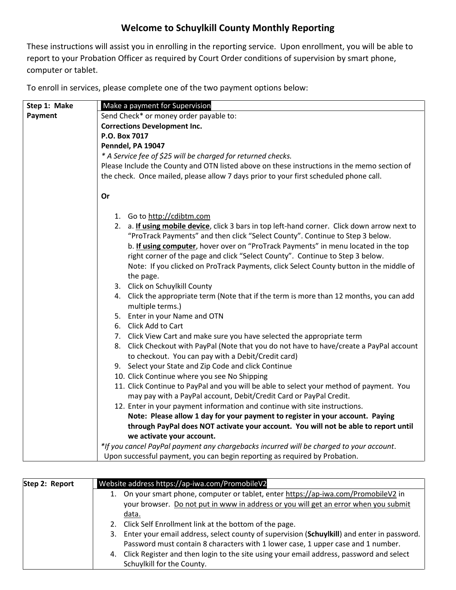## **Welcome to Schuylkill County Monthly Reporting**

These instructions will assist you in enrolling in the reporting service. Upon enrollment, you will be able to report to your Probation Officer as required by Court Order conditions of supervision by smart phone, computer or tablet.

To enroll in services, please complete one of the two payment options below:

| Step 1: Make | Make a payment for Supervision                                                                                                                                |
|--------------|---------------------------------------------------------------------------------------------------------------------------------------------------------------|
| Payment      | Send Check* or money order payable to:                                                                                                                        |
|              | <b>Corrections Development Inc.</b>                                                                                                                           |
|              | P.O. Box 7017                                                                                                                                                 |
|              | Penndel, PA 19047                                                                                                                                             |
|              | * A Service fee of \$25 will be charged for returned checks.                                                                                                  |
|              | Please Include the County and OTN listed above on these instructions in the memo section of                                                                   |
|              | the check. Once mailed, please allow 7 days prior to your first scheduled phone call.                                                                         |
|              |                                                                                                                                                               |
|              | Or                                                                                                                                                            |
|              |                                                                                                                                                               |
|              | 1. Go to http://cdibtm.com                                                                                                                                    |
|              | 2. a. If using mobile device, click 3 bars in top left-hand corner. Click down arrow next to                                                                  |
|              | "ProTrack Payments" and then click "Select County". Continue to Step 3 below.                                                                                 |
|              | b. If using computer, hover over on "ProTrack Payments" in menu located in the top                                                                            |
|              | right corner of the page and click "Select County". Continue to Step 3 below.                                                                                 |
|              | Note: If you clicked on ProTrack Payments, click Select County button in the middle of                                                                        |
|              | the page.                                                                                                                                                     |
|              | 3. Click on Schuylkill County                                                                                                                                 |
|              | 4. Click the appropriate term (Note that if the term is more than 12 months, you can add                                                                      |
|              | multiple terms.)                                                                                                                                              |
|              | 5. Enter in your Name and OTN                                                                                                                                 |
|              | 6. Click Add to Cart                                                                                                                                          |
|              | 7. Click View Cart and make sure you have selected the appropriate term                                                                                       |
|              | 8. Click Checkout with PayPal (Note that you do not have to have/create a PayPal account                                                                      |
|              | to checkout. You can pay with a Debit/Credit card)                                                                                                            |
|              | 9. Select your State and Zip Code and click Continue                                                                                                          |
|              | 10. Click Continue where you see No Shipping                                                                                                                  |
|              | 11. Click Continue to PayPal and you will be able to select your method of payment. You<br>may pay with a PayPal account, Debit/Credit Card or PayPal Credit. |
|              | 12. Enter in your payment information and continue with site instructions.                                                                                    |
|              | Note: Please allow 1 day for your payment to register in your account. Paying                                                                                 |
|              | through PayPal does NOT activate your account. You will not be able to report until                                                                           |
|              | we activate your account.                                                                                                                                     |
|              | *If you cancel PayPal payment any chargebacks incurred will be charged to your account.                                                                       |
|              | Upon successful payment, you can begin reporting as required by Probation.                                                                                    |

| Step 2: Report | Website address https://ap-iwa.com/PromobileV2                                                   |
|----------------|--------------------------------------------------------------------------------------------------|
|                | On your smart phone, computer or tablet, enter https://ap-iwa.com/PromobileV2 in                 |
|                | your browser. Do not put in www in address or you will get an error when you submit              |
|                | data.                                                                                            |
|                | 2. Click Self Enrollment link at the bottom of the page.                                         |
|                | Enter your email address, select county of supervision (Schuylkill) and enter in password.<br>3. |
|                | Password must contain 8 characters with 1 lower case, 1 upper case and 1 number.                 |
|                | Click Register and then login to the site using your email address, password and select<br>4.    |
|                | Schuylkill for the County.                                                                       |